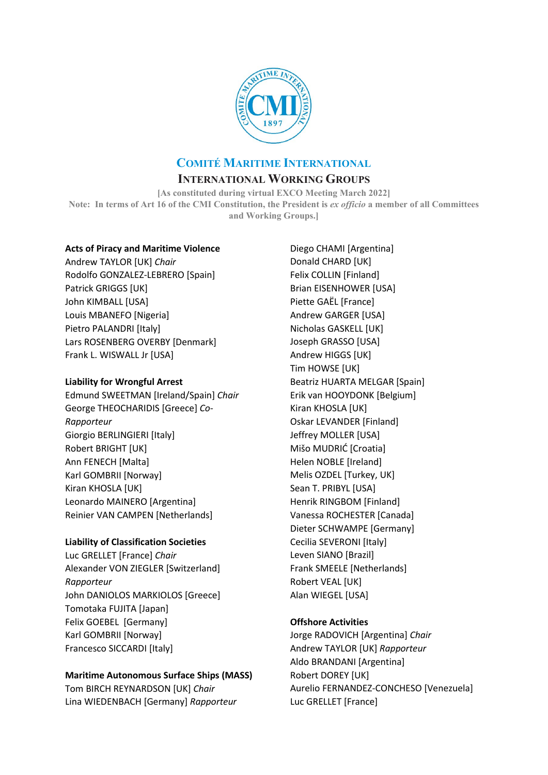

# **COMITÉ MARITIME INTERNATIONAL**

# **INTERNATIONAL WORKING GROUPS**

**[As constituted during virtual EXCO Meeting March 2022] Note: In terms of Art 16 of the CMI Constitution, the President is** *ex officio* **a member of all Committees and Working Groups.]**

## **Acts of Piracy and Maritime Violence**

Andrew TAYLOR [UK] *Chair* Rodolfo GONZALEZ-LEBRERO [Spain] Patrick GRIGGS [UK] John KIMBALL [USA] Louis MBANEFO [Nigeria] Pietro PALANDRI [Italy] Lars ROSENBERG OVERBY [Denmark] Frank L. WISWALL Jr [USA]

## **Liability for Wrongful Arrest**

Edmund SWEETMAN [Ireland/Spain] *Chair* George THEOCHARIDIS [Greece] *Co-Rapporteur* Giorgio BERLINGIERI [Italy] Robert BRIGHT [UK] Ann FENECH [Malta] Karl GOMBRII [Norway] Kiran KHOSLA [UK] Leonardo MAINERO [Argentina] Reinier VAN CAMPEN [Netherlands]

## **Liability of Classification Societies**

Luc GRELLET [France] *Chair* Alexander VON ZIEGLER [Switzerland] *Rapporteur* John DANIOLOS MARKIOLOS [Greece] Tomotaka FUJITA [Japan] Felix GOEBEL [Germany] Karl GOMBRII [Norway] Francesco SICCARDI [Italy]

# **Maritime Autonomous Surface Ships (MASS)**

Tom BIRCH REYNARDSON [UK] *Chair* Lina WIEDENBACH [Germany] *Rapporteur*

Diego CHAMI [Argentina] Donald CHARD [UK] Felix COLLIN [Finland] Brian EISENHOWER [USA] Piette GAËL [France] Andrew GARGER [USA] Nicholas GASKELL [UK] Joseph GRASSO [USA] Andrew HIGGS [UK] Tim HOWSE [UK] Beatriz HUARTA MELGAR [Spain] Erik van HOOYDONK [Belgium] Kiran KHOSLA [UK] Oskar LEVANDER [Finland] Jeffrey MOLLER [USA] Mišo MUDRIĆ [Croatia] Helen NOBLE [Ireland] Melis OZDEL [Turkey, UK] Sean T. PRIBYL [USA] Henrik RINGBOM [Finland] Vanessa ROCHESTER [Canada] Dieter SCHWAMPE [Germany] Cecilia SEVERONI [Italy] Leven SIANO [Brazil] Frank SMEELE [Netherlands] Robert VEAL [UK] Alan WIEGEL [USA]

# **Offshore Activities**

Jorge RADOVICH [Argentina] *Chair* Andrew TAYLOR [UK] *Rapporteur* Aldo BRANDANI [Argentina] Robert DOREY [UK] Aurelio FERNANDEZ-CONCHESO [Venezuela] Luc GRELLET [France]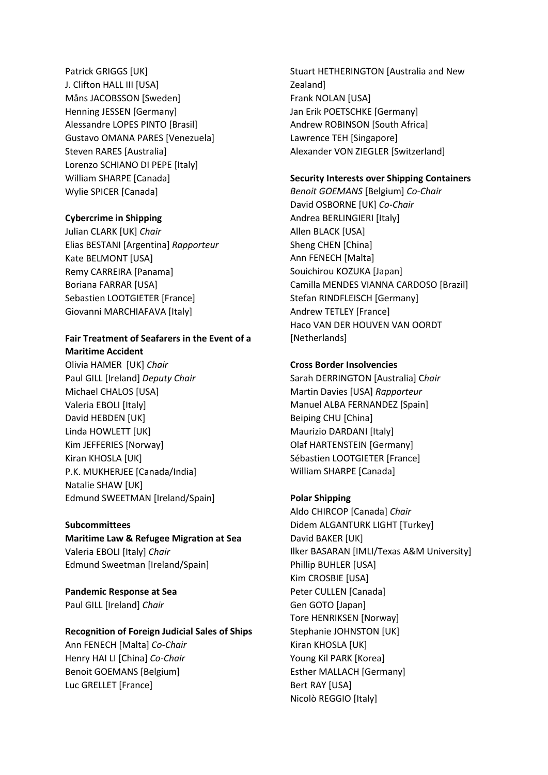Patrick GRIGGS [UK] J. Clifton HALL III [USA] Måns JACOBSSON [Sweden] Henning JESSEN [Germany] Alessandre LOPES PINTO [Brasil] Gustavo OMANA PARES [Venezuela] Steven RARES [Australia] Lorenzo SCHIANO DI PEPE [Italy] William SHARPE [Canada] Wylie SPICER [Canada]

## **Cybercrime in Shipping**

Julian CLARK [UK] *Chair* Elias BESTANI [Argentina] *Rapporteur* Kate BELMONT [USA] Remy CARREIRA [Panama] Boriana FARRAR [USA] Sebastien LOOTGIETER [France] Giovanni MARCHIAFAVA [Italy]

#### **Fair Treatment of Seafarers in the Event of a Maritime Accident**

Olivia HAMER [UK] *Chair* Paul GILL [Ireland] *Deputy Chair*  Michael CHALOS [USA] Valeria EBOLI [Italy] David HEBDEN [UK] Linda HOWLETT [UK] Kim JEFFERIES [Norway] Kiran KHOSLA [UK] P.K. MUKHERJEE [Canada/India] Natalie SHAW [UK] Edmund SWEETMAN [Ireland/Spain]

### **Subcommittees**

**Maritime Law & Refugee Migration at Sea** Valeria EBOLI [Italy] *Chair* Edmund Sweetman [Ireland/Spain]

**Pandemic Response at Sea** Paul GILL [Ireland] *Chair*

### **Recognition of Foreign Judicial Sales of Ships**

Ann FENECH [Malta] *Co-Chair* Henry HAI LI [China] *Co-Chair* Benoit GOEMANS [Belgium] Luc GRELLET [France]

Stuart HETHERINGTON [Australia and New Zealand] Frank NOLAN [USA] Jan Erik POETSCHKE [Germany] Andrew ROBINSON [South Africa] Lawrence TEH [Singapore] Alexander VON ZIEGLER [Switzerland]

### **Security Interests over Shipping Containers**

*Benoit GOEMANS* [Belgium] *Co-Chair* David OSBORNE [UK] *Co-Chair* Andrea BERLINGIERI [Italy] Allen BLACK [USA] Sheng CHEN [China] Ann FENECH [Malta] Souichirou KOZUKA [Japan] Camilla MENDES VIANNA CARDOSO [Brazil] Stefan RINDFLEISCH [Germany] Andrew TETLEY [France] Haco VAN DER HOUVEN VAN OORDT [Netherlands]

### **Cross Border Insolvencies**

Sarah DERRINGTON [Australia] C*hair*  Martin Davies [USA] *Rapporteur* Manuel ALBA FERNANDEZ [Spain] Beiping CHU [China] Maurizio DARDANI [Italy] Olaf HARTENSTEIN [Germany] Sébastien LOOTGIETER [France] William SHARPE [Canada]

## **Polar Shipping**

Aldo CHIRCOP [Canada] *Chair* Didem ALGANTURK LIGHT [Turkey] David BAKER [UK] Ilker BASARAN [IMLI/Texas A&M University] Phillip BUHLER [USA] Kim CROSBIE [USA] Peter CULLEN [Canada] Gen GOTO [Japan] Tore HENRIKSEN [Norway] Stephanie JOHNSTON [UK] Kiran KHOSLA [UK] Young Kil PARK [Korea] Esther MALLACH [Germany] Bert RAY [USA] Nicolò REGGIO [Italy]